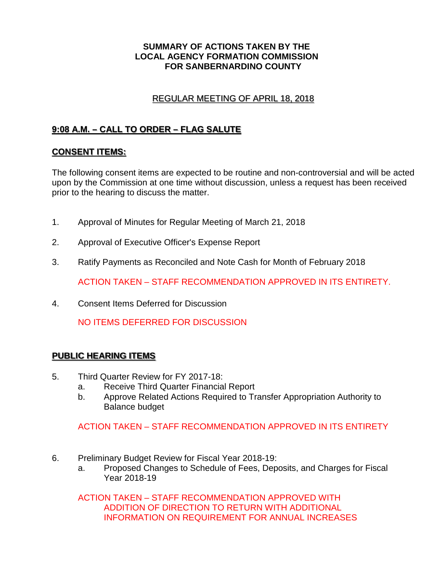#### **SUMMARY OF ACTIONS TAKEN BY THE LOCAL AGENCY FORMATION COMMISSION FOR SANBERNARDINO COUNTY**

# REGULAR MEETING OF APRIL 18, 2018

# **9:08 A.M. – CALL TO ORDER – FLAG SALUTE**

### **CONSENT ITEMS:**

The following consent items are expected to be routine and non-controversial and will be acted upon by the Commission at one time without discussion, unless a request has been received prior to the hearing to discuss the matter.

- 1. Approval of Minutes for Regular Meeting of March 21, 2018
- 2. Approval of Executive Officer's Expense Report
- 3. Ratify Payments as Reconciled and Note Cash for Month of February 2018

ACTION TAKEN – STAFF RECOMMENDATION APPROVED IN ITS ENTIRETY.

4. Consent Items Deferred for Discussion

NO ITEMS DEFERRED FOR DISCUSSION

### **PUBLIC HEARING ITEMS**

- 5. Third Quarter Review for FY 2017-18:
	- a. Receive Third Quarter Financial Report
	- b. Approve Related Actions Required to Transfer Appropriation Authority to Balance budget

ACTION TAKEN – STAFF RECOMMENDATION APPROVED IN ITS ENTIRETY

- 6. Preliminary Budget Review for Fiscal Year 2018-19:
	- a. Proposed Changes to Schedule of Fees, Deposits, and Charges for Fiscal Year 2018-19

ACTION TAKEN – STAFF RECOMMENDATION APPROVED WITH ADDITION OF DIRECTION TO RETURN WITH ADDITIONAL INFORMATION ON REQUIREMENT FOR ANNUAL INCREASES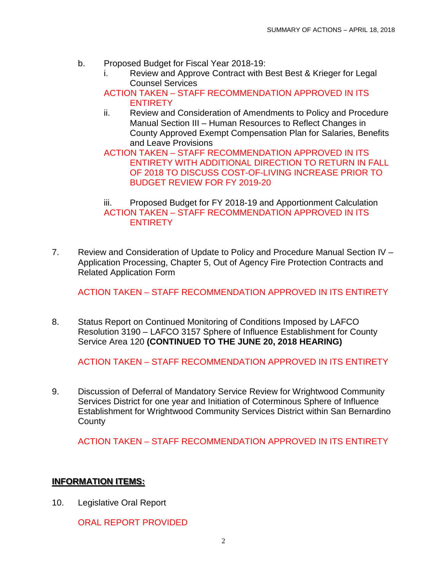- b. Proposed Budget for Fiscal Year 2018-19:
	- i. Review and Approve Contract with Best Best & Krieger for Legal Counsel Services
	- ACTION TAKEN STAFF RECOMMENDATION APPROVED IN ITS ENTIRETY
	- ii. Review and Consideration of Amendments to Policy and Procedure Manual Section III – Human Resources to Reflect Changes in County Approved Exempt Compensation Plan for Salaries, Benefits and Leave Provisions

ACTION TAKEN – STAFF RECOMMENDATION APPROVED IN ITS ENTIRETY WITH ADDITIONAL DIRECTION TO RETURN IN FALL OF 2018 TO DISCUSS COST-OF-LIVING INCREASE PRIOR TO BUDGET REVIEW FOR FY 2019-20

iii. Proposed Budget for FY 2018-19 and Apportionment Calculation ACTION TAKEN – STAFF RECOMMENDATION APPROVED IN ITS **ENTIRETY** 

7. Review and Consideration of Update to Policy and Procedure Manual Section IV – Application Processing, Chapter 5, Out of Agency Fire Protection Contracts and Related Application Form

ACTION TAKEN – STAFF RECOMMENDATION APPROVED IN ITS ENTIRETY

8. Status Report on Continued Monitoring of Conditions Imposed by LAFCO Resolution 3190 – LAFCO 3157 Sphere of Influence Establishment for County Service Area 120 **(CONTINUED TO THE JUNE 20, 2018 HEARING)**

ACTION TAKEN – STAFF RECOMMENDATION APPROVED IN ITS ENTIRETY

9. Discussion of Deferral of Mandatory Service Review for Wrightwood Community Services District for one year and Initiation of Coterminous Sphere of Influence Establishment for Wrightwood Community Services District within San Bernardino **County** 

ACTION TAKEN – STAFF RECOMMENDATION APPROVED IN ITS ENTIRETY

# **INFORMATION ITEMS:**

10. Legislative Oral Report

ORAL REPORT PROVIDED